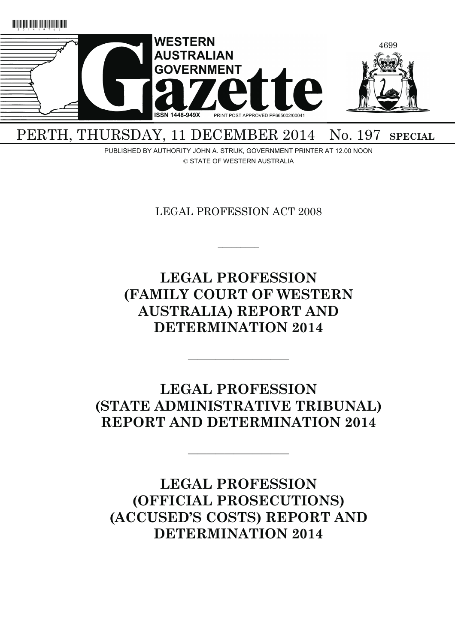

PERTH, THURSDAY, 11 DECEMBER 2014 No. 197 SPECIAL

PUBLISHED BY AUTHORITY JOHN A. STRIJK, GOVERNMENT PRINTER AT 12.00 NOON © STATE OF WESTERN AUSTRALIA

LEGAL PROFESSION ACT 2008

 $\overline{\phantom{a}}$   $\overline{\phantom{a}}$ 

**LEGAL PROFESSION (FAMILY COURT OF WESTERN AUSTRALIA) REPORT AND DETERMINATION 2014** 

**LEGAL PROFESSION (STATE ADMINISTRATIVE TRIBUNAL) REPORT AND DETERMINATION 2014** 

———————————

———————————

**LEGAL PROFESSION (OFFICIAL PROSECUTIONS) (ACCUSED'S COSTS) REPORT AND DETERMINATION 2014**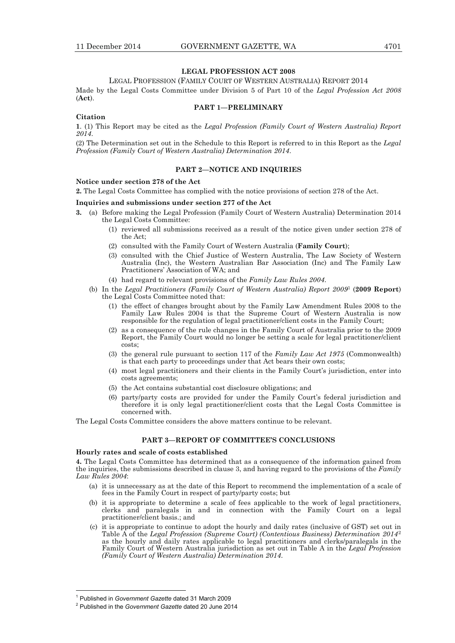# **LEGAL PROFESSION ACT 2008**

LEGAL PROFESSION (FAMILY COURT OF WESTERN AUSTRALIA) REPORT 2014

Made by the Legal Costs Committee under Division 5 of Part 10 of the *Legal Profession Act 2008* (**Act**).

# **PART 1—PRELIMINARY**

### **Citation**

**1**. (1) This Report may be cited as the *Legal Profession (Family Court of Western Australia) Report 2014*.

(2) The Determination set out in the Schedule to this Report is referred to in this Report as the *Legal Profession (Family Court of Western Australia) Determination 2014*.

## **PART 2—NOTICE AND INQUIRIES**

#### **Notice under section 278 of the Act**

**2.** The Legal Costs Committee has complied with the notice provisions of section 278 of the Act.

#### **Inquiries and submissions under section 277 of the Act**

- **3.** (a) Before making the Legal Profession (Family Court of Western Australia) Determination 2014 the Legal Costs Committee:
	- (1) reviewed all submissions received as a result of the notice given under section 278 of the Act;
	- (2) consulted with the Family Court of Western Australia (**Family Court**);
	- (3) consulted with the Chief Justice of Western Australia, The Law Society of Western Australia (Inc), the Western Australian Bar Association (Inc) and The Family Law Practitioners' Association of WA; and
	- (4) had regard to relevant provisions of the *Family Law Rules 2004*.
	- (b) In the *Legal Practitioners (Family Court of Western Australia) Report 2009*1 (**2009 Report**) the Legal Costs Committee noted that:
		- (1) the effect of changes brought about by the Family Law Amendment Rules 2008 to the Family Law Rules 2004 is that the Supreme Court of Western Australia is now responsible for the regulation of legal practitioner/client costs in the Family Court;
		- (2) as a consequence of the rule changes in the Family Court of Australia prior to the 2009 Report, the Family Court would no longer be setting a scale for legal practitioner/client costs;
		- (3) the general rule pursuant to section 117 of the *Family Law Act 1975* (Commonwealth) is that each party to proceedings under that Act bears their own costs;
		- (4) most legal practitioners and their clients in the Family Court's jurisdiction, enter into costs agreements;
		- (5) the Act contains substantial cost disclosure obligations; and
		- (6) party/party costs are provided for under the Family Court's federal jurisdiction and therefore it is only legal practitioner/client costs that the Legal Costs Committee is concerned with.

The Legal Costs Committee considers the above matters continue to be relevant.

# **PART 3—REPORT OF COMMITTEE'S CONCLUSIONS**

#### **Hourly rates and scale of costs established**

**4.** The Legal Costs Committee has determined that as a consequence of the information gained from the inquiries, the submissions described in clause 3, and having regard to the provisions of the *Family Law Rules 2004*:

- (a) it is unnecessary as at the date of this Report to recommend the implementation of a scale of fees in the Family Court in respect of party/party costs; but
- (b) it is appropriate to determine a scale of fees applicable to the work of legal practitioners, clerks and paralegals in and in connection with the Family Court on a legal practitioner/client basis.; and
- (c) it is appropriate to continue to adopt the hourly and daily rates (inclusive of GST) set out in Table A of the *Legal Profession (Supreme Court) (Contentious Business) Determination 2014*<sup>2</sup> as the hourly and daily rates applicable to legal practitioners and clerks/paralegals in the Family Court of Western Australia jurisdiction as set out in Table A in the *Legal Profession (Family Court of Western Australia) Determination 2014*.

 $\overline{a}$ 

<sup>&</sup>lt;sup>1</sup> Published in *Government Gazette* dated 31 March 2009<br><sup>2</sup> Published in the *Covernment Cazette* dated 20 June 202

Published in the *Government Gazette* dated 20 June 2014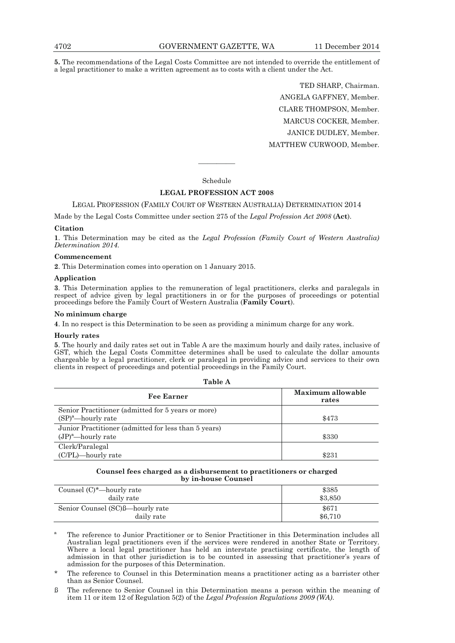**5.** The recommendations of the Legal Costs Committee are not intended to override the entitlement of a legal practitioner to make a written agreement as to costs with a client under the Act.

> TED SHARP, Chairman. ANGELA GAFFNEY, Member. CLARE THOMPSON, Member. MARCUS COCKER, Member. JANICE DUDLEY, Member. MATTHEW CURWOOD, Member.

# Schedule

————

# **LEGAL PROFESSION ACT 2008**

# LEGAL PROFESSION (FAMILY COURT OF WESTERN AUSTRALIA) DETERMINATION 2014

Made by the Legal Costs Committee under section 275 of the *Legal Profession Act 2008* (**Act**).

### **Citation**

**1**. This Determination may be cited as the *Legal Profession (Family Court of Western Australia) Determination 2014*.

#### **Commencement**

**2**. This Determination comes into operation on 1 January 2015.

### **Application**

**3**. This Determination applies to the remuneration of legal practitioners, clerks and paralegals in respect of advice given by legal practitioners in or for the purposes of proceedings or potential proceedings before the Family Court of Western Australia (**Family Court**).

### **No minimum charge**

**4**. In no respect is this Determination to be seen as providing a minimum charge for any work.

#### **Hourly rates**

**5**. The hourly and daily rates set out in Table A are the maximum hourly and daily rates, inclusive of GST, which the Legal Costs Committee determines shall be used to calculate the dollar amounts chargeable by a legal practitioner, clerk or paralegal in providing advice and services to their own clients in respect of proceedings and potential proceedings in the Family Court.

| Table A                                                                       |                            |  |
|-------------------------------------------------------------------------------|----------------------------|--|
| <b>Fee Earner</b>                                                             | Maximum allowable<br>rates |  |
| Senior Practitioner (admitted for 5 years or more)<br>$(SP)^a$ -hourly rate   | \$473                      |  |
| Junior Practitioner (admitted for less than 5 years)<br>$(JP)^a$ —hourly rate | \$330                      |  |
| Clerk/Paralegal<br>(C/PL)—hourly rate                                         | \$231                      |  |

#### **Counsel fees charged as a disbursement to practitioners or charged by in-house Counsel**

| Counsel $(C)^*$ —hourly rate     | \$385   |
|----------------------------------|---------|
| daily rate                       | \$3,850 |
| Senior Counsel (SC)ß—hourly rate | \$671   |
| daily rate                       | \$6,710 |

The reference to Junior Practitioner or to Senior Practitioner in this Determination includes all Australian legal practitioners even if the services were rendered in another State or Territory. Where a local legal practitioner has held an interstate practising certificate, the length of admission in that other jurisdiction is to be counted in assessing that practitioner's years of admission for the purposes of this Determination.

- The reference to Counsel in this Determination means a practitioner acting as a barrister other than as Senior Counsel.
- ß The reference to Senior Counsel in this Determination means a person within the meaning of item 11 or item 12 of Regulation 5(2) of the *Legal Profession Regulations 2009 (WA)*.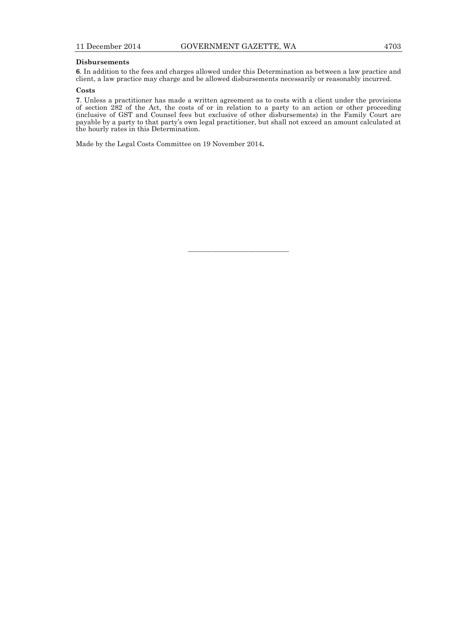# **Disbursements**

**6**. In addition to the fees and charges allowed under this Determination as between a law practice and client, a law practice may charge and be allowed disbursements necessarily or reasonably incurred.

# **Costs**

**7**. Unless a practitioner has made a written agreement as to costs with a client under the provisions of section 282 of the Act, the costs of or in relation to a party to an action or other proceeding (inclusive of GST and Counsel fees but exclusive of other disbursements) in the Family Court are payable by a party to that party's own legal practitioner, but shall not exceed an amount calculated at the hourly rates in this Determination.

———————————

Made by the Legal Costs Committee on 19 November 2014**.**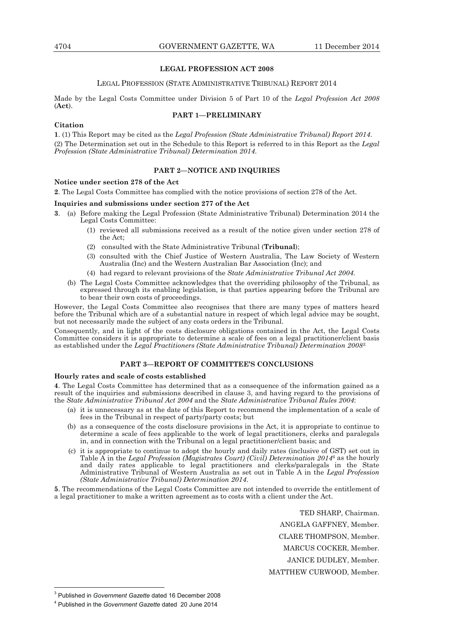### **LEGAL PROFESSION ACT 2008**

### LEGAL PROFESSION (STATE ADMINISTRATIVE TRIBUNAL) REPORT 2014

Made by the Legal Costs Committee under Division 5 of Part 10 of the *Legal Profession Act 2008*  (**Act**).

## **PART 1—PRELIMINARY**

### **Citation**

**1**. (1) This Report may be cited as the *Legal Profession (State Administrative Tribunal) Report 2014*. (2) The Determination set out in the Schedule to this Report is referred to in this Report as the *Legal Profession (State Administrative Tribunal) Determination 2014*.

# **PART 2—NOTICE AND INQUIRIES**

## **Notice under section 278 of the Act**

**2**. The Legal Costs Committee has complied with the notice provisions of section 278 of the Act.

## **Inquiries and submissions under section 277 of the Act**

- **3**. (a) Before making the Legal Profession (State Administrative Tribunal) Determination 2014 the Legal Costs Committee:
	- (1) reviewed all submissions received as a result of the notice given under section 278 of the Act;
	- (2) consulted with the State Administrative Tribunal (**Tribunal**);
	- (3) consulted with the Chief Justice of Western Australia, The Law Society of Western Australia (Inc) and the Western Australian Bar Association (Inc); and
	- (4) had regard to relevant provisions of the *State Administrative Tribunal Act 2004*.
	- (b) The Legal Costs Committee acknowledges that the overriding philosophy of the Tribunal, as expressed through its enabling legislation, is that parties appearing before the Tribunal are to bear their own costs of proceedings.

However, the Legal Costs Committee also recognises that there are many types of matters heard before the Tribunal which are of a substantial nature in respect of which legal advice may be sought, but not necessarily made the subject of any costs orders in the Tribunal.

Consequently, and in light of the costs disclosure obligations contained in the Act, the Legal Costs Committee considers it is appropriate to determine a scale of fees on a legal practitioner/client basis as established under the *Legal Practitioners (State Administrative Tribunal) Determination 20083*.

# **PART 3—REPORT OF COMMITTEE'S CONCLUSIONS**

### **Hourly rates and scale of costs established**

**4**. The Legal Costs Committee has determined that as a consequence of the information gained as a result of the inquiries and submissions described in clause 3, and having regard to the provisions of the *State Administrative Tribunal Act 2004* and the *State Administrative Tribunal Rules 2004*:

- (a) it is unnecessary as at the date of this Report to recommend the implementation of a scale of fees in the Tribunal in respect of party/party costs; but
- (b) as a consequence of the costs disclosure provisions in the Act, it is appropriate to continue to determine a scale of fees applicable to the work of legal practitioners, clerks and paralegals in, and in connection with the Tribunal on a legal practitioner/client basis; and
- (c) it is appropriate to continue to adopt the hourly and daily rates (inclusive of GST) set out in Table A in the *Legal Profession (Magistrates Court) (Civil) Determination 2014*4 as the hourly and daily rates applicable to legal practitioners and clerks/paralegals in the State Administrative Tribunal of Western Australia as set out in Table A in the *Legal Profession (State Administrative Tribunal) Determination 2014*.

**5**. The recommendations of the Legal Costs Committee are not intended to override the entitlement of a legal practitioner to make a written agreement as to costs with a client under the Act.

TED SHARP, Chairman.

ANGELA GAFFNEY, Member.

CLARE THOMPSON, Member.

MARCUS COCKER, Member.

JANICE DUDLEY, Member.

MATTHEW CURWOOD, Member.

 $\overline{a}$ 

<sup>3</sup> Published in *Government Gazette* dated 16 December 2008

<sup>4</sup> Published in the *Government Gazette* dated 20 June 2014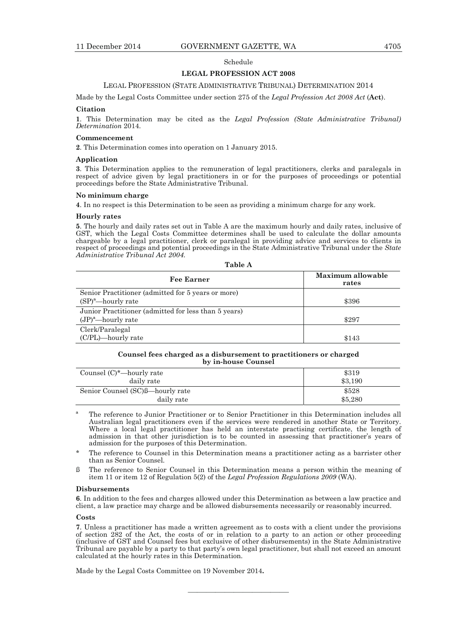#### Schedule

#### **LEGAL PROFESSION ACT 2008**

#### LEGAL PROFESSION (STATE ADMINISTRATIVE TRIBUNAL) DETERMINATION 2014

Made by the Legal Costs Committee under section 275 of the *Legal Profession Act 2008 Act* (**Act**).

#### **Citation**

**1**. This Determination may be cited as the *Legal Profession (State Administrative Tribunal) Determination* 2014.

#### **Commencement**

**2**. This Determination comes into operation on 1 January 2015.

#### **Application**

**3**. This Determination applies to the remuneration of legal practitioners, clerks and paralegals in respect of advice given by legal practitioners in or for the purposes of proceedings or potential proceedings before the State Administrative Tribunal.

## **No minimum charge**

**4**. In no respect is this Determination to be seen as providing a minimum charge for any work.

#### **Hourly rates**

**5**. The hourly and daily rates set out in Table A are the maximum hourly and daily rates, inclusive of GST, which the Legal Costs Committee determines shall be used to calculate the dollar amounts chargeable by a legal practitioner, clerk or paralegal in providing advice and services to clients in respect of proceedings and potential proceedings in the State Administrative Tribunal under the *State Administrative Tribunal Act 2004.* 

| able |  |
|------|--|
|------|--|

| <b>Fee Earner</b>                                    | Maximum allowable<br>rates |
|------------------------------------------------------|----------------------------|
| Senior Practitioner (admitted for 5 years or more)   |                            |
| $(SP)^a$ —hourly rate                                | \$396                      |
| Junior Practitioner (admitted for less than 5 years) |                            |
| $(JP)^a$ —hourly rate                                | \$297                      |
| Clerk/Paralegal                                      |                            |
| (C/PL)—hourly rate                                   | \$143                      |

### **Counsel fees charged as a disbursement to practitioners or charged by in-house Counsel**

| Counsel $(C)^*$ —hourly rate     | \$319   |
|----------------------------------|---------|
| daily rate                       | \$3.190 |
| Senior Counsel (SC)ß—hourly rate | \$528   |
| daily rate                       | \$5,280 |

ª The reference to Junior Practitioner or to Senior Practitioner in this Determination includes all Australian legal practitioners even if the services were rendered in another State or Territory. Where a local legal practitioner has held an interstate practising certificate, the length of admission in that other jurisdiction is to be counted in assessing that practitioner's years of admission for the purposes of this Determination.

The reference to Counsel in this Determination means a practitioner acting as a barrister other than as Senior Counsel.

ß The reference to Senior Counsel in this Determination means a person within the meaning of item 11 or item 12 of Regulation 5(2) of the *Legal Profession Regulations 2009* (WA).

## **Disbursements**

**6**. In addition to the fees and charges allowed under this Determination as between a law practice and client, a law practice may charge and be allowed disbursements necessarily or reasonably incurred.

## **Costs**

**7**. Unless a practitioner has made a written agreement as to costs with a client under the provisions of section 282 of the Act, the costs of or in relation to a party to an action or other proceeding (inclusive of GST and Counsel fees but exclusive of other disbursements) in the State Administrative Tribunal are payable by a party to that party's own legal practitioner, but shall not exceed an amount calculated at the hourly rates in this Determination.

———————————

Made by the Legal Costs Committee on 19 November 2014**.**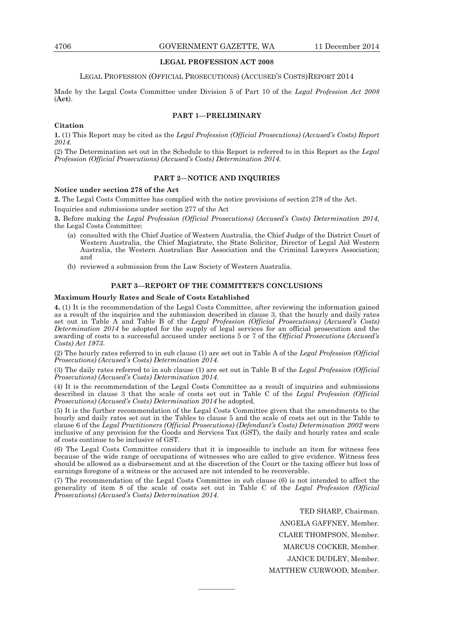## **LEGAL PROFESSION ACT 2008**

#### LEGAL PROFESSION (OFFICIAL PROSECUTIONS) (ACCUSED'S COSTS)REPORT 2014

Made by the Legal Costs Committee under Division 5 of Part 10 of the *Legal Profession Act 2008* (**Act**).

#### **PART 1—PRELIMINARY**

#### **Citation**

**1.** (1) This Report may be cited as the *Legal Profession (Official Prosecutions) (Accused's Costs) Report 2014.*

(2) The Determination set out in the Schedule to this Report is referred to in this Report as the *Legal Profession (Official Prosecutions) (Accused's Costs) Determination 2014.* 

## **PART 2—NOTICE AND INQUIRIES**

### **Notice under section 278 of the Act**

**2.** The Legal Costs Committee has complied with the notice provisions of section 278 of the Act.

Inquiries and submissions under section 277 of the Act

**3.** Before making the *Legal Profession (Official Prosecutions) (Accused's Costs) Determination 2014,*  the Legal Costs Committee:

- (a) consulted with the Chief Justice of Western Australia, the Chief Judge of the District Court of Western Australia, the Chief Magistrate, the State Solicitor, Director of Legal Aid Western Australia, the Western Australian Bar Association and the Criminal Lawyers Association; and
- (b) reviewed a submission from the Law Society of Western Australia.

# **PART 3—REPORT OF THE COMMITTEE'S CONCLUSIONS**

# **Maximum Hourly Rates and Scale of Costs Established**

**4.** (1) It is the recommendation of the Legal Costs Committee, after reviewing the information gained as a result of the inquiries and the submission described in clause 3, that the hourly and daily rates set out in Table A and Table B of the *Legal Profession (Official Prosecutions) (Accused's Costs) Determination 2014* be adopted for the supply of legal services for an official prosecution and the awarding of costs to a successful accused under sections 5 or 7 of the *Official Prosecutions (Accused's Costs) Act 1973*.

(2) The hourly rates referred to in sub clause (1) are set out in Table A of the *Legal Profession (Official Prosecutions) (Accused's Costs) Determination 2014.* 

(3) The daily rates referred to in sub clause (1) are set out in Table B of the *Legal Profession (Official Prosecutions) (Accused's Costs) Determination 2014.* 

(4) It is the recommendation of the Legal Costs Committee as a result of inquiries and submissions described in clause 3 that the scale of costs set out in Table C of the *Legal Profession (Official Prosecutions) (Accused's Costs) Determination 2014* be adopted*.* 

(5) It is the further recommendation of the Legal Costs Committee given that the amendments to the hourly and daily rates set out in the Tables to clause 5 and the scale of costs set out in the Table to clause 6 of the *Legal Practitioners (Official Prosecutions) (Defendant's Costs) Determination 2002* were inclusive of any provision for the Goods and Services Tax (GST), the daily and hourly rates and scale of costs continue to be inclusive of GST.

(6) The Legal Costs Committee considers that it is impossible to include an item for witness fees because of the wide range of occupations of witnesses who are called to give evidence. Witness fees should be allowed as a disbursement and at the discretion of the Court or the taxing officer but loss of earnings foregone of a witness or the accused are not intended to be recoverable.

(7) The recommendation of the Legal Costs Committee in sub clause (6) is not intended to affect the generality of item 8 of the scale of costs set out in Table C of the *Legal Profession (Official Prosecutions) (Accused's Costs) Determination 2014.*

————

TED SHARP, Chairman.

ANGELA GAFFNEY, Member.

CLARE THOMPSON, Member.

MARCUS COCKER, Member.

JANICE DUDLEY, Member.

MATTHEW CURWOOD, Member.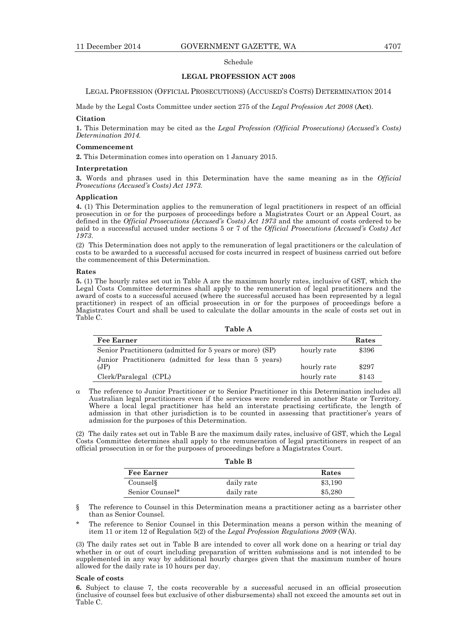## Schedule

#### **LEGAL PROFESSION ACT 2008**

LEGAL PROFESSION (OFFICIAL PROSECUTIONS) (ACCUSED'S COSTS) DETERMINATION 2014

Made by the Legal Costs Committee under section 275 of the *Legal Profession Act 2008* (**Act**).

#### **Citation**

**1.** This Determination may be cited as the *Legal Profession (Official Prosecutions) (Accused's Costs) Determination 2014.* 

### **Commencement**

**2.** This Determination comes into operation on 1 January 2015.

#### **Interpretation**

**3.** Words and phrases used in this Determination have the same meaning as in the *Official Prosecutions (Accused's Costs) Act 1973.* 

#### **Application**

**4.** (1) This Determination applies to the remuneration of legal practitioners in respect of an official prosecution in or for the purposes of proceedings before a Magistrates Court or an Appeal Court, as defined in the *Official Prosecutions (Accused's Costs) Act 1973* and the amount of costs ordered to be paid to a successful accused under sections 5 or 7 of the *Official Prosecutions (Accused's Costs) Act 1973*.

(2) This Determination does not apply to the remuneration of legal practitioners or the calculation of costs to be awarded to a successful accused for costs incurred in respect of business carried out before the commencement of this Determination.

### **Rates**

**5.** (1) The hourly rates set out in Table A are the maximum hourly rates, inclusive of GST, which the Legal Costs Committee determines shall apply to the remuneration of legal practitioners and the award of costs to a successful accused (where the successful accused has been represented by a legal practitioner) in respect of an official prosecution in or for the purposes of proceedings before a Magistrates Court and shall be used to calculate the dollar amounts in the scale of costs set out in Table C.

#### **Table A**

| <b>Fee Earner</b>                                        |             | Rates |
|----------------------------------------------------------|-------------|-------|
| Senior Practitionerα (admitted for 5 years or more) (SP) | hourly rate | \$396 |
| Junior Practitionerα (admitted for less than 5 years)    |             |       |
| (JP)                                                     | hourly rate | \$297 |
| Clerk/Paralegal (CPL)                                    | hourly rate | \$143 |

 The reference to Junior Practitioner or to Senior Practitioner in this Determination includes all Australian legal practitioners even if the services were rendered in another State or Territory. Where a local legal practitioner has held an interstate practising certificate, the length of admission in that other jurisdiction is to be counted in assessing that practitioner's years of admission for the purposes of this Determination.

(2) The daily rates set out in Table B are the maximum daily rates, inclusive of GST, which the Legal Costs Committee determines shall apply to the remuneration of legal practitioners in respect of an official prosecution in or for the purposes of proceedings before a Magistrates Court.

| Table B           |            |         |
|-------------------|------------|---------|
| <b>Fee Earner</b> |            | Rates   |
| Counsel           | daily rate | \$3,190 |
| Senior Counsel*   | daily rate | \$5,280 |

§ The reference to Counsel in this Determination means a practitioner acting as a barrister other than as Senior Counsel.

The reference to Senior Counsel in this Determination means a person within the meaning of item 11 or item 12 of Regulation 5(2) of the *Legal Profession Regulations 2009* (WA).

(3) The daily rates set out in Table B are intended to cover all work done on a hearing or trial day whether in or out of court including preparation of written submissions and is not intended to be supplemented in any way by additional hourly charges given that the maximum number of hours allowed for the daily rate is 10 hours per day.

#### **Scale of costs**

**6.** Subject to clause 7, the costs recoverable by a successful accused in an official prosecution (inclusive of counsel fees but exclusive of other disbursements) shall not exceed the amounts set out in Table C.